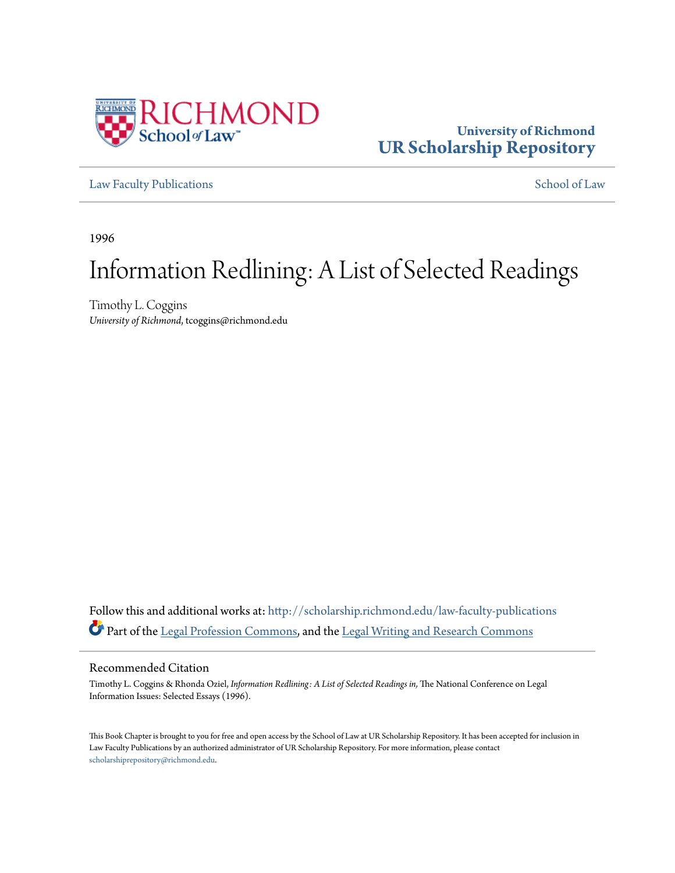

### **University of Richmond [UR Scholarship Repository](http://scholarship.richmond.edu?utm_source=scholarship.richmond.edu%2Flaw-faculty-publications%2F962&utm_medium=PDF&utm_campaign=PDFCoverPages)**

[Law Faculty Publications](http://scholarship.richmond.edu/law-faculty-publications?utm_source=scholarship.richmond.edu%2Flaw-faculty-publications%2F962&utm_medium=PDF&utm_campaign=PDFCoverPages) [School of Law](http://scholarship.richmond.edu/law?utm_source=scholarship.richmond.edu%2Flaw-faculty-publications%2F962&utm_medium=PDF&utm_campaign=PDFCoverPages)

1996

# Information Redlining: A List of Selected Readings

Timothy L. Coggins *University of Richmond*, tcoggins@richmond.edu

Follow this and additional works at: [http://scholarship.richmond.edu/law-faculty-publications](http://scholarship.richmond.edu/law-faculty-publications?utm_source=scholarship.richmond.edu%2Flaw-faculty-publications%2F962&utm_medium=PDF&utm_campaign=PDFCoverPages) Part of the [Legal Profession Commons,](http://network.bepress.com/hgg/discipline/1075?utm_source=scholarship.richmond.edu%2Flaw-faculty-publications%2F962&utm_medium=PDF&utm_campaign=PDFCoverPages) and the [Legal Writing and Research Commons](http://network.bepress.com/hgg/discipline/614?utm_source=scholarship.richmond.edu%2Flaw-faculty-publications%2F962&utm_medium=PDF&utm_campaign=PDFCoverPages)

#### Recommended Citation

Timothy L. Coggins & Rhonda Oziel, *Information Redlining: A List of Selected Readings in,* The National Conference on Legal Information Issues: Selected Essays (1996).

This Book Chapter is brought to you for free and open access by the School of Law at UR Scholarship Repository. It has been accepted for inclusion in Law Faculty Publications by an authorized administrator of UR Scholarship Repository. For more information, please contact [scholarshiprepository@richmond.edu.](mailto:scholarshiprepository@richmond.edu)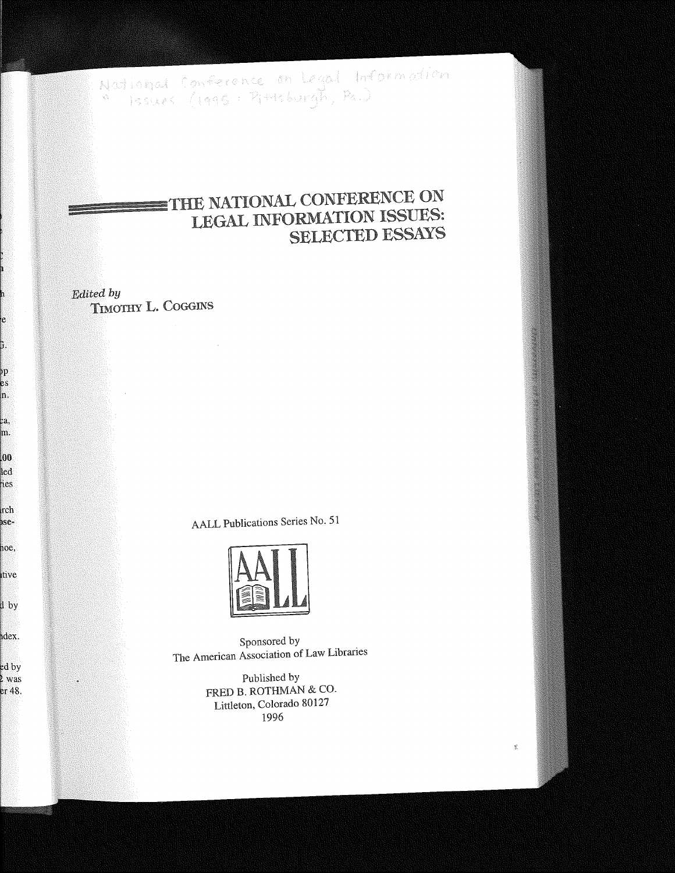National Conference on Legal Information<br>\* Issues (1995: Pittsburgh, Pa.)

## THE NATIONAL CONFERENCE ON LEGAL INFORMATION ISSUES: **SELECTED ESSAYS**

Edited by TIMOTHY L. COGGINS

 $\sim$   $\sim$ 

e

à.

pp es h.

¢a, m.

 $\boldsymbol{00}$ led ies

rch

)se-

noe,

tive

l by

dex.

ed by

l was

er 48.

AALL Publications Series No. 51



Sponsored by The American Association of Law Libraries

> Published by FRED B. ROTHMAN & CO. Littleton, Colorado 80127 1996

> > $\tilde{\mathbb{X}}$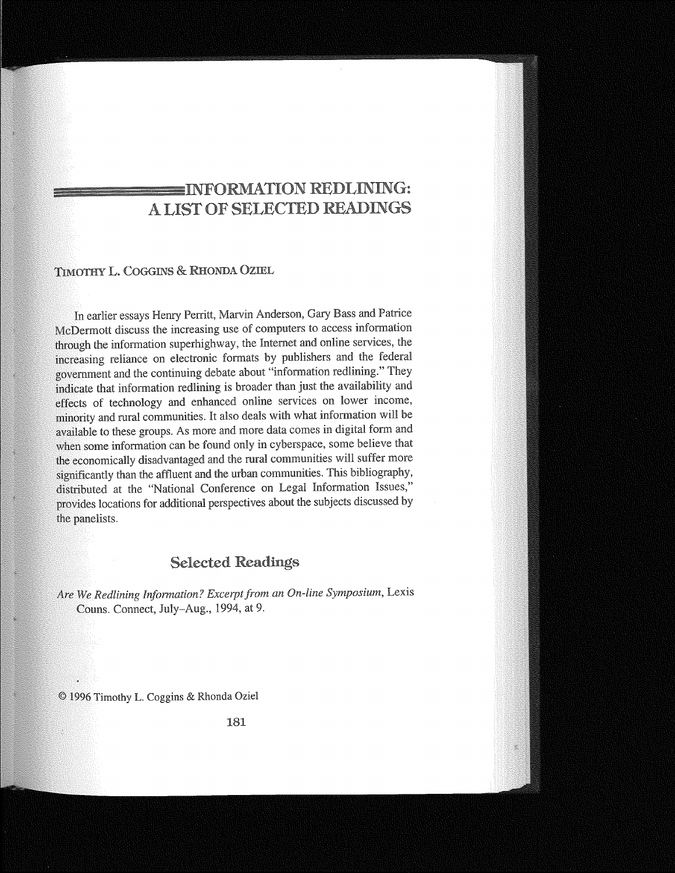### INFORMATION REDLINING: A LIST OF SELECTED READINGS

#### TIMOTHY COGGINS & RHONDA OZIBL

In earlier essays Henry Perritt, Marvin Anderson, Gary Bass and Patrice McDermott discuss the increasing use of computers to access information through the information superhighway, the Internet and online services, the increasing reliance on electronic formats by publishers and the federal government and the continuing debate about "information redlining." They indicate that information redlining is broader than just the availability and effects of technology and enhanced online services on lower income, minority and rural communities. It also deals with what information will be available to these groups. As more and more data comes in digital form and when some information can be found only in cyberspace, some believe that the economically disadvantaged and the rural communities will suffer more significantly than the affluent and the urban communities. This bibliography, distributed at the "National Conference on Legal Information Issues," provides locations for additional perspectives about the subjects discussed by the panelists.

### Selected Readings

Are We Redlining Information? Excerpt from an On-line Symposium, Lexis Couns. Connect, July-Aug., 1994, at 9.

© 1996 Timothy L. Coggins & Rhonda Oziel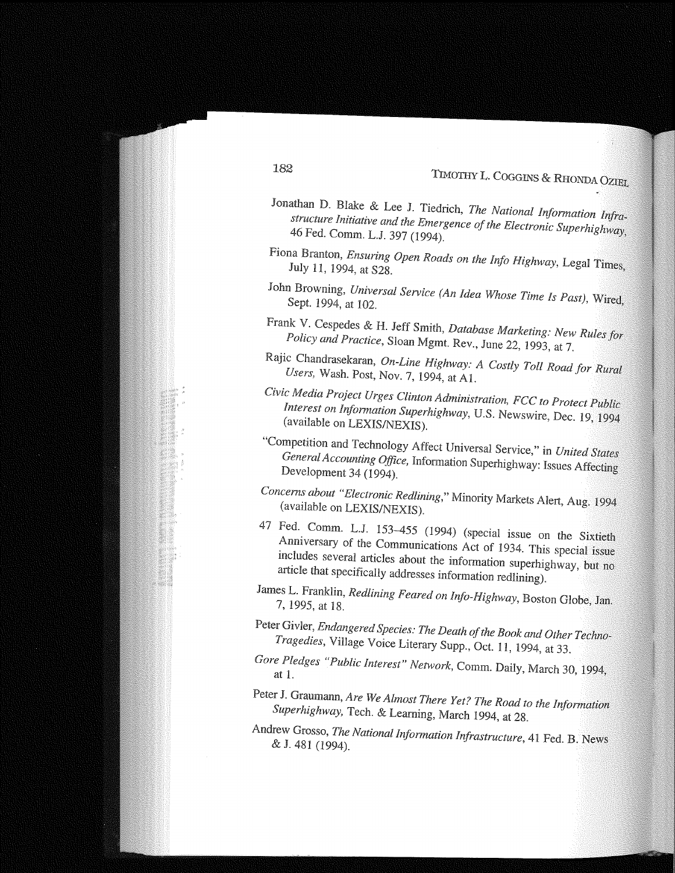# 'TIMOTHY L. COGGINS & RHONDA 0ZIEL

- Jonathan D. Blake & Lee J. Tiedrich, *The National Information Infrastructure Initiative and the Emergence of the Electronic Superhighway,*  46 Fed. Comm. L.J. 397 (1994).
- Fiona Branton, *Ensuring Open Roads on the Info Highway,* Legal Times, July 11, 1994, at S28.
- John Browning, *Universal Service (An Idea Whose Time Is Past},* Wired, Sept. 1994, at 102.
- Frank V. Cespedes & H. Jeff Smith, *Database Marketing: New Rules for Policy and Practice,* Sloan Mgmt. Rev., June 22, 1993, at 7.
- Rajic Chandrasekaran, *On-Line Highway: A Costly Toll Road for Rural Users,* Wash. Post, Nov. 7, 1994, at Al.
- *Civic Media Project Urges Clinton Administration, FCC to Protect Public Interest on lnfonnation Superhighway,* U.S. Newswire, Dec. 19, 1994 (available on LEXIS/NEXIS).
- "Competition and Technology Affect Universal Service," *United States General Accounting Office,* Information Superhighway: Issues Affecting Development 34 (1994).
- *Concerns about "Electronic Redlining,"* Minority Markets Alert, Aug. 1994 (available on LEXIS/NEXIS).
- 47 Fed. Comm. L.J. 153-455 (1994) (special issue on the Sixtieth Anniversary of the Communications Act of 1934. This special issue includes several articles about the information superhighway, but no article that specifically addresses information redlining).
- James L. Franklin, *Redlining Feared on Info-Highway,* Boston Globe, Jan. 7, 1995, at 18.
- Peter Givler, *Endangered Species: The Death of the Book and Other Techno-Tragedies,* Village Voice Literary Supp., Oct. 11, 1994, at 33.
- *Gore Pledges "Public Interest" Network,* Comm. Daily, March 30, 1994, at 1.
- Peter J. Graumann, *Are We Almost There Yet? The Road to the Information Superhighway,* Tech. & Leaming, March 1994, at 28.
- Andrew Grosso, *The National lnfonnation Infrastructure,* 41 Fed. B. News & J. 481 (1994).

#### 182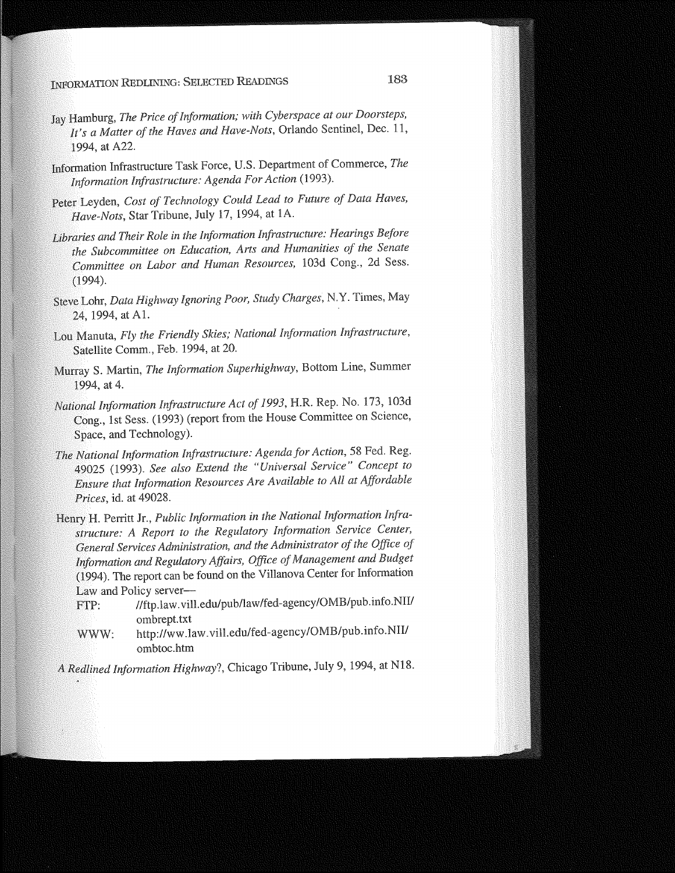### INFORMATION REDLINING: SELECTED READINGS 183

- Jay Hamburg, *The Price of Information; with Cyberspace at our Doorsteps, It's a Matter of the Haves and Have-Nots,* Orlando Sentinel, Dec. 11, 1994, at A22.
- Information Infrastructure Task Force, U.S. Department of Commerce, *The Information Infrastructure: Agenda For Action* (1993).
- Peter Leyden, *Cost of Technology Could Lead to Future of Data Haves, Have-Nots,* Star Tribune, July 17, 1994, at lA.
- *Libraries and Their Role in the Information Infrastructure: Hearings Before the Subcommittee on Education, Arts and Humanities of the Senate Committee on Labor and Human Resources,* 103d Cong., 2d Sess. (1994).
- Steve Lohr, *Data Highway Ignoring Poor, Study Charges,* N.Y. Times, May 24, 1994, at Al.
- Lou Manuta, *Fly the Friendly Skies; National Information Infrastructure*, Satellite Comm., Feb. 1994, at 20.
- Murray S. Martin, *The Information Superhighway,* Bottom Line, Summer 1994, at 4.
- *National Information Infrastructure Act of 1993,* H.R. Rep. No. 173, 103d Cong., 1st Sess. (1993) (report from the House Committee on Science, Space, and Technology).
- *The National Information Infrastructure: Agenda.for Action,* 58 Fed. Reg. 49025 (1993). *See also Extend the "Universal Service" Concept to Ensure that Information Resources Are Available to All at Affordable Prices,* id. at 49028.
- Henry H. Perritt Jr., *Public Information in the National Information Infrastructure: A Report to the Regulatory Information Service Center, General Services Administration, and the Administrator of the Office of Information and Regulatory Affairs, Office of Management and Budget*  (1994). The report can be found on the Villanova Center for Information Law and Policy server-
	- FTP: //ftp.law.vill.edu/pub/law/fed-agency/OMB/pub.info.NU/ ombrept.txt
	- WWW: http://ww.law.vill.edu/fed-agency/OMB/pub.info.NII/ ombtoc.htm
- *A Redlined Information Highway?,* Chicago Tribune, July 9, 1994, at Nl8.